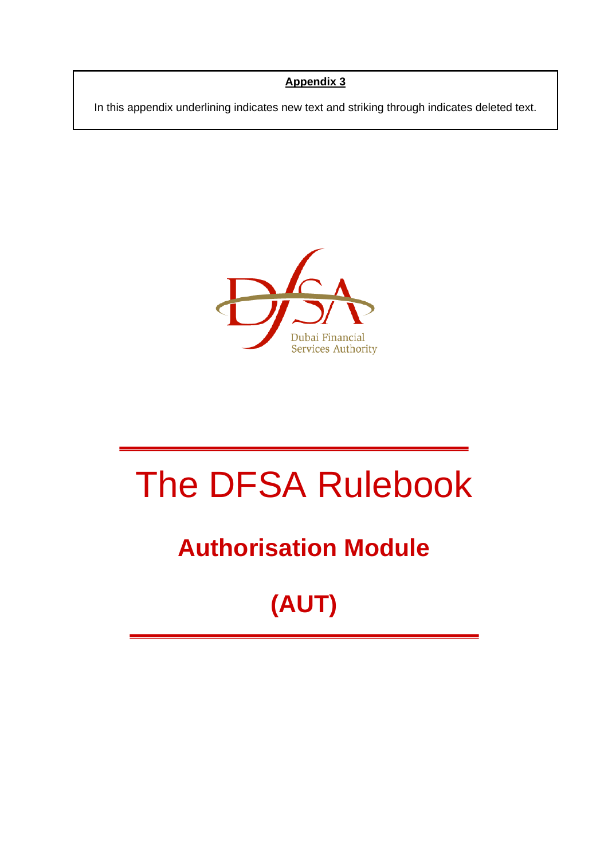#### **Appendix 3**

In this appendix underlining indicates new text and striking through indicates deleted text.



# The DFSA Rulebook

### **Authorisation Module**

## **(AUT)**